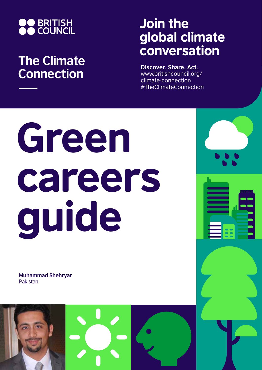

## **The Climate Connection**

## Join the global climate conversation

**Discover. Share. Act.** www.britishcouncil.org/ climate-connection #TheClimateConnection

# Green careers guide

**Muhammad Shehryar** Pakistan